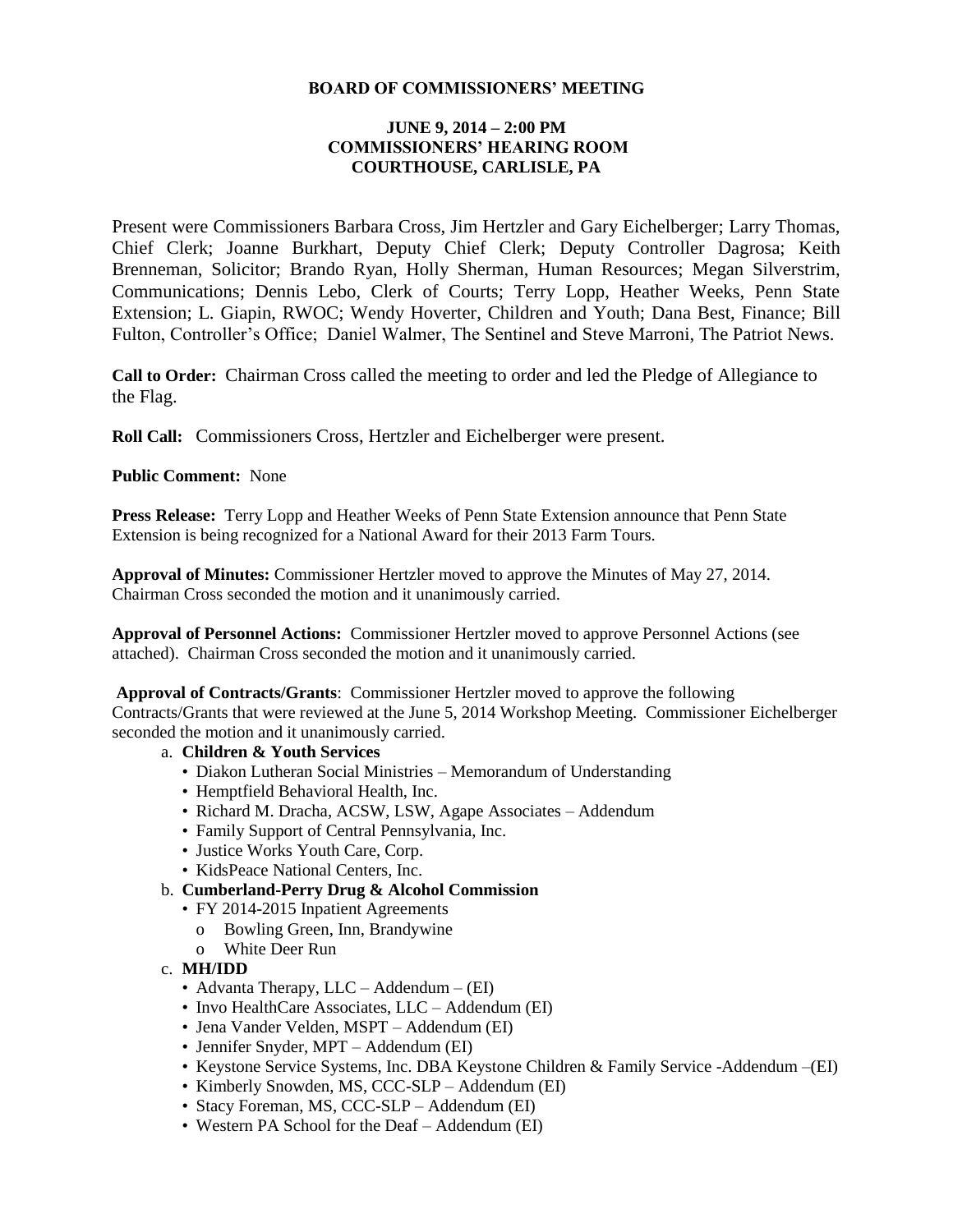### **BOARD OF COMMISSIONERS' MEETING**

### **JUNE 9, 2014 – 2:00 PM COMMISSIONERS' HEARING ROOM COURTHOUSE, CARLISLE, PA**

Present were Commissioners Barbara Cross, Jim Hertzler and Gary Eichelberger; Larry Thomas, Chief Clerk; Joanne Burkhart, Deputy Chief Clerk; Deputy Controller Dagrosa; Keith Brenneman, Solicitor; Brando Ryan, Holly Sherman, Human Resources; Megan Silverstrim, Communications; Dennis Lebo, Clerk of Courts; Terry Lopp, Heather Weeks, Penn State Extension; L. Giapin, RWOC; Wendy Hoverter, Children and Youth; Dana Best, Finance; Bill Fulton, Controller's Office; Daniel Walmer, The Sentinel and Steve Marroni, The Patriot News.

**Call to Order:** Chairman Cross called the meeting to order and led the Pledge of Allegiance to the Flag.

**Roll Call:** Commissioners Cross, Hertzler and Eichelberger were present.

**Public Comment:** None

**Press Release:** Terry Lopp and Heather Weeks of Penn State Extension announce that Penn State Extension is being recognized for a National Award for their 2013 Farm Tours.

**Approval of Minutes:** Commissioner Hertzler moved to approve the Minutes of May 27, 2014. Chairman Cross seconded the motion and it unanimously carried.

**Approval of Personnel Actions:** Commissioner Hertzler moved to approve Personnel Actions (see attached). Chairman Cross seconded the motion and it unanimously carried.

**Approval of Contracts/Grants**: Commissioner Hertzler moved to approve the following Contracts/Grants that were reviewed at the June 5, 2014 Workshop Meeting. Commissioner Eichelberger seconded the motion and it unanimously carried.

### a. **Children & Youth Services**

- Diakon Lutheran Social Ministries Memorandum of Understanding
- Hemptfield Behavioral Health, Inc.
- Richard M. Dracha, ACSW, LSW, Agape Associates Addendum
- Family Support of Central Pennsylvania, Inc.
- Justice Works Youth Care, Corp.
- KidsPeace National Centers, Inc.
- b. **Cumberland-Perry Drug & Alcohol Commission**
	- FY 2014-2015 Inpatient Agreements
		- o Bowling Green, Inn, Brandywine
		- o White Deer Run
- c. **MH/IDD**
	- Advanta Therapy, LLC Addendum (EI)
	- Invo HealthCare Associates, LLC Addendum (EI)
	- Jena Vander Velden, MSPT Addendum (EI)
	- Jennifer Snyder, MPT Addendum (EI)
	- Keystone Service Systems, Inc. DBA Keystone Children & Family Service -Addendum –(EI)
	- Kimberly Snowden, MS, CCC-SLP Addendum (EI)
	- Stacy Foreman, MS, CCC-SLP Addendum (EI)
	- Western PA School for the Deaf Addendum (EI)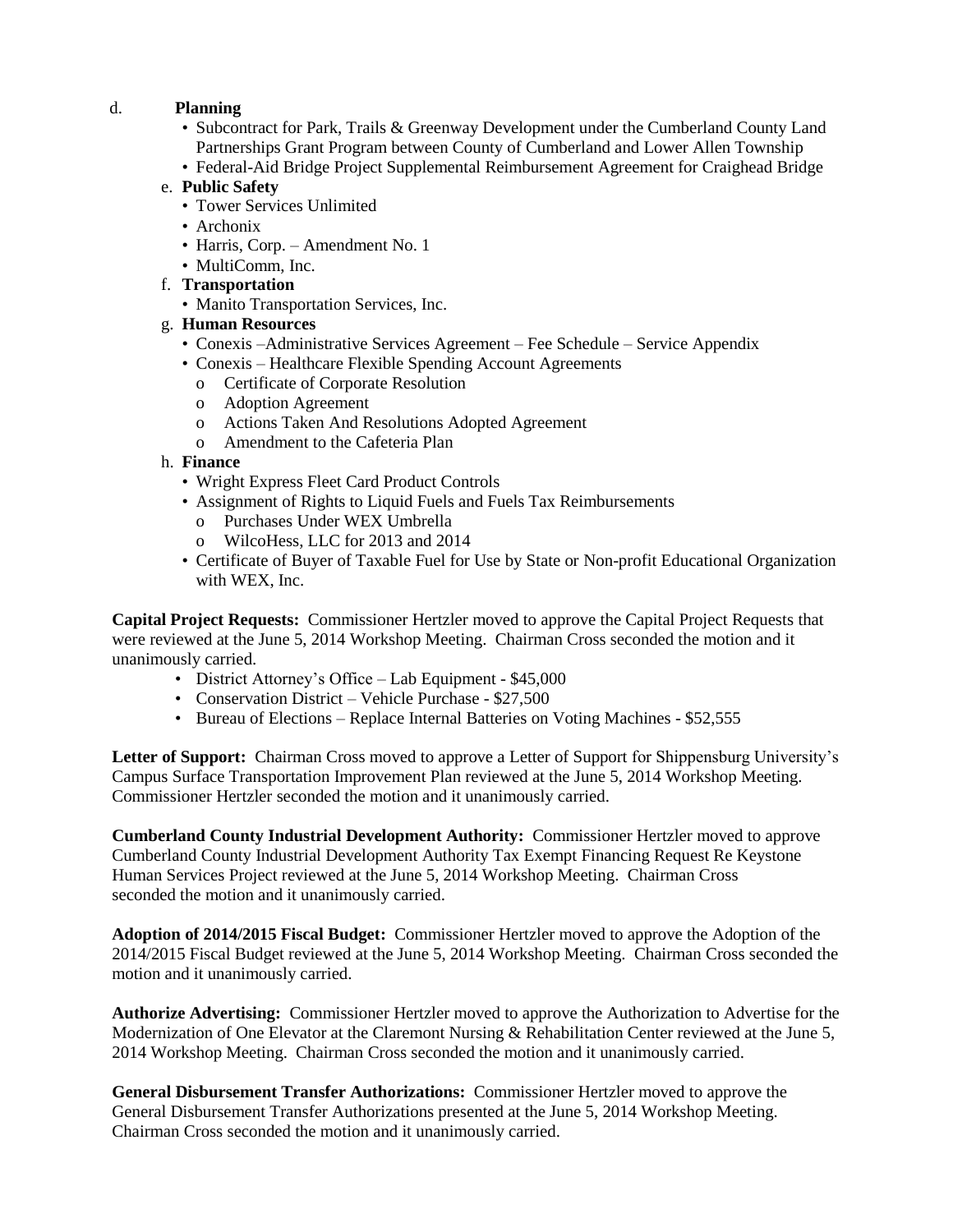## d. **Planning**

- Subcontract for Park, Trails & Greenway Development under the Cumberland County Land Partnerships Grant Program between County of Cumberland and Lower Allen Township
- Federal-Aid Bridge Project Supplemental Reimbursement Agreement for Craighead Bridge

### e. **Public Safety**

- Tower Services Unlimited
- Archonix
- Harris, Corp. Amendment No. 1
- MultiComm, Inc.
- f. **Transportation** 
	- Manito Transportation Services, Inc.

# g. **Human Resources**

- Conexis –Administrative Services Agreement Fee Schedule Service Appendix
- Conexis Healthcare Flexible Spending Account Agreements
	- o Certificate of Corporate Resolution
	- o Adoption Agreement
	- o Actions Taken And Resolutions Adopted Agreement
	- o Amendment to the Cafeteria Plan

## h. **Finance**

- Wright Express Fleet Card Product Controls
- Assignment of Rights to Liquid Fuels and Fuels Tax Reimbursements
	- o Purchases Under WEX Umbrella
	- o WilcoHess, LLC for 2013 and 2014
- Certificate of Buyer of Taxable Fuel for Use by State or Non-profit Educational Organization with WEX, Inc.

**Capital Project Requests:** Commissioner Hertzler moved to approve the Capital Project Requests that were reviewed at the June 5, 2014 Workshop Meeting. Chairman Cross seconded the motion and it unanimously carried.

- District Attorney's Office Lab Equipment \$45,000
- Conservation District Vehicle Purchase \$27,500
- Bureau of Elections Replace Internal Batteries on Voting Machines \$52,555

**Letter of Support:** Chairman Cross moved to approve a Letter of Support for Shippensburg University's Campus Surface Transportation Improvement Plan reviewed at the June 5, 2014 Workshop Meeting. Commissioner Hertzler seconded the motion and it unanimously carried.

**Cumberland County Industrial Development Authority:** Commissioner Hertzler moved to approve Cumberland County Industrial Development Authority Tax Exempt Financing Request Re Keystone Human Services Project reviewed at the June 5, 2014 Workshop Meeting. Chairman Cross seconded the motion and it unanimously carried.

**Adoption of 2014/2015 Fiscal Budget:** Commissioner Hertzler moved to approve the Adoption of the 2014/2015 Fiscal Budget reviewed at the June 5, 2014 Workshop Meeting. Chairman Cross seconded the motion and it unanimously carried.

**Authorize Advertising:** Commissioner Hertzler moved to approve the Authorization to Advertise for the Modernization of One Elevator at the Claremont Nursing & Rehabilitation Center reviewed at the June 5, 2014 Workshop Meeting. Chairman Cross seconded the motion and it unanimously carried.

**General Disbursement Transfer Authorizations:** Commissioner Hertzler moved to approve the General Disbursement Transfer Authorizations presented at the June 5, 2014 Workshop Meeting. Chairman Cross seconded the motion and it unanimously carried.